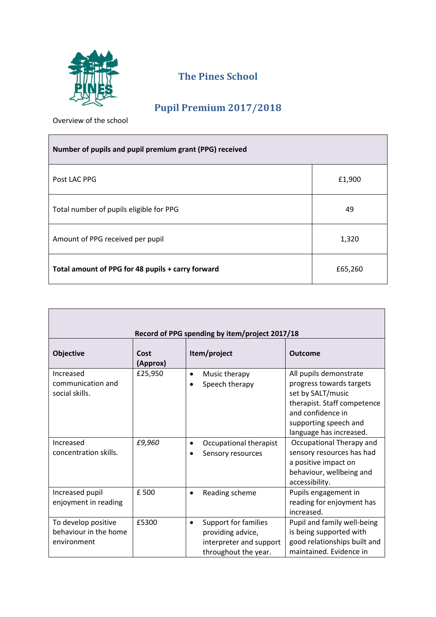

## **The Pines School**

## **Pupil Premium 2017/2018**

Overview of the school

| Number of pupils and pupil premium grant (PPG) received |         |
|---------------------------------------------------------|---------|
| Post LAC PPG                                            | £1,900  |
| Total number of pupils eligible for PPG                 | 49      |
| Amount of PPG received per pupil                        | 1,320   |
| Total amount of PPG for 48 pupils + carry forward       | £65,260 |

| Record of PPG spending by item/project 2017/18              |                  |                                                                                                                  |                                                                                                                                                                                 |  |
|-------------------------------------------------------------|------------------|------------------------------------------------------------------------------------------------------------------|---------------------------------------------------------------------------------------------------------------------------------------------------------------------------------|--|
| <b>Objective</b>                                            | Cost<br>(Approx) | Item/project                                                                                                     | <b>Outcome</b>                                                                                                                                                                  |  |
| Increased<br>communication and<br>social skills.            | £25,950          | Music therapy<br>$\bullet$<br>Speech therapy                                                                     | All pupils demonstrate<br>progress towards targets<br>set by SALT/music<br>therapist. Staff competence<br>and confidence in<br>supporting speech and<br>language has increased. |  |
| Increased<br>concentration skills.                          | £9,960           | Occupational therapist<br>Sensory resources                                                                      | Occupational Therapy and<br>sensory resources has had<br>a positive impact on<br>behaviour, wellbeing and<br>accessibility.                                                     |  |
| Increased pupil<br>enjoyment in reading                     | £ 500            | Reading scheme                                                                                                   | Pupils engagement in<br>reading for enjoyment has<br>increased.                                                                                                                 |  |
| To develop positive<br>behaviour in the home<br>environment | £5300            | <b>Support for families</b><br>$\bullet$<br>providing advice,<br>interpreter and support<br>throughout the year. | Pupil and family well-being<br>is being supported with<br>good relationships built and<br>maintained. Evidence in                                                               |  |